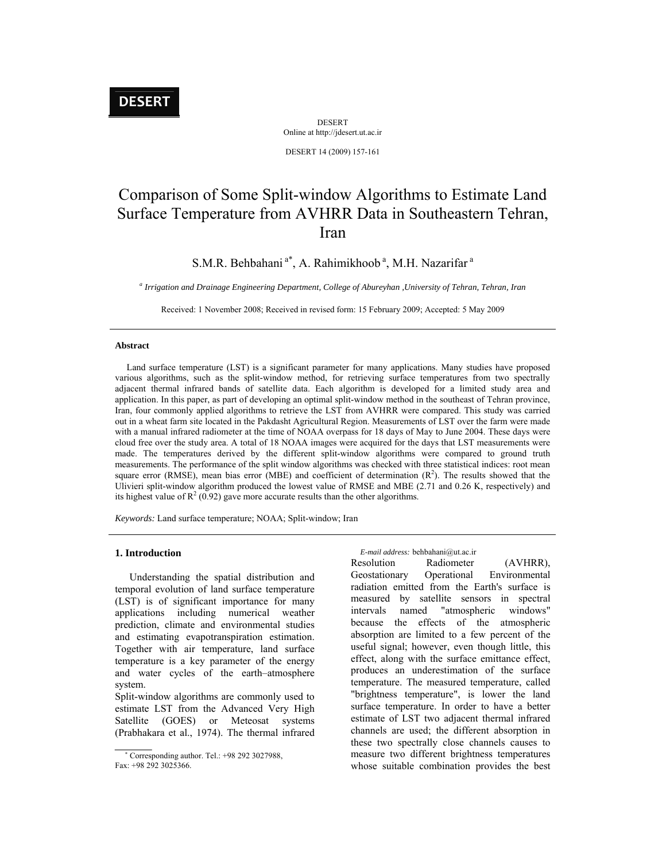**DESERT**

DESERT Online at http://jdesert.ut.ac.ir

DESERT 14 (2009) 157-161

# Comparison of Some Split-window Algorithms to Estimate Land Surface Temperature from AVHRR Data in Southeastern Tehran, Iran

S.M.R. Behbahani<sup>a\*</sup>, A. Rahimikhoob<sup>a</sup>, M.H. Nazarifar<sup>a</sup>

*a Irrigation and Drainage Engineering Department, College of Abureyhan ,University of Tehran, Tehran, Iran* 

Received: 1 November 2008; Received in revised form: 15 February 2009; Accepted: 5 May 2009

### **Abstract**

 Land surface temperature (LST) is a significant parameter for many applications. Many studies have proposed various algorithms, such as the split-window method, for retrieving surface temperatures from two spectrally adjacent thermal infrared bands of satellite data. Each algorithm is developed for a limited study area and application. In this paper, as part of developing an optimal split-window method in the southeast of Tehran province, Iran, four commonly applied algorithms to retrieve the LST from AVHRR were compared. This study was carried out in a wheat farm site located in the Pakdasht Agricultural Region. Measurements of LST over the farm were made with a manual infrared radiometer at the time of NOAA overpass for 18 days of May to June 2004. These days were cloud free over the study area. A total of 18 NOAA images were acquired for the days that LST measurements were made. The temperatures derived by the different split-window algorithms were compared to ground truth measurements. The performance of the split window algorithms was checked with three statistical indices: root mean square error (RMSE), mean bias error (MBE) and coefficient of determination  $(R^2)$ . The results showed that the Ulivieri split-window algorithm produced the lowest value of RMSE and MBE (2.71 and 0.26 K, respectively) and its highest value of  $R^2$  (0.92) gave more accurate results than the other algorithms.

*Keywords:* Land surface temperature; NOAA; Split-window; Iran

#### **1. Introduction**

Understanding the spatial distribution and temporal evolution of land surface temperature (LST) is of significant importance for many applications including numerical weather prediction, climate and environmental studies and estimating evapotranspiration estimation. Together with air temperature, land surface temperature is a key parameter of the energy and water cycles of the earth–atmosphere system.

Split-window algorithms are commonly used to estimate LST from the Advanced Very High Satellite (GOES) or Meteosat systems (Prabhakara et al., 1974). The thermal infrared

 *E-mail address:* behbahani@ut.ac.ir Resolution Radiometer (AVHRR), Geostationary Operational Environmental radiation emitted from the Earth's surface is measured by satellite sensors in spectral intervals named "atmospheric windows" because the effects of the atmospheric absorption are limited to a few percent of the useful signal; however, even though little, this effect, along with the surface emittance effect, produces an underestimation of the surface temperature. The measured temperature, called "brightness temperature", is lower the land surface temperature. In order to have a better estimate of LST two adjacent thermal infrared channels are used; the different absorption in these two spectrally close channels causes to measure two different brightness temperatures whose suitable combination provides the best

 Corresponding author. Tel.: +98 292 3027988, Fax: +98 292 3025366.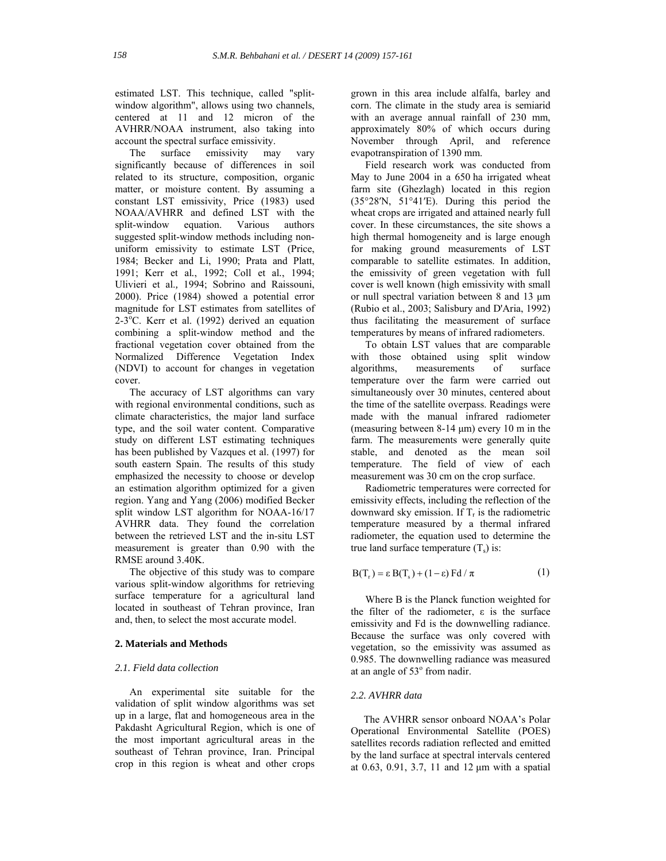estimated LST. This technique, called "splitwindow algorithm", allows using two channels, centered at 11 and 12 micron of the AVHRR/NOAA instrument, also taking into account the spectral surface emissivity.

The surface emissivity may vary significantly because of differences in soil related to its structure, composition, organic matter, or moisture content. By assuming a constant LST emissivity, Price (1983) used NOAA/AVHRR and defined LST with the split-window equation. Various authors suggested split-window methods including nonuniform emissivity to estimate LST (Price, 1984; Becker and Li, 1990; Prata and Platt, 1991; Kerr et al*.*, 1992; Coll et al*.*, 1994; Ulivieri et al.*,* 1994; Sobrino and Raissouni, 2000). Price (1984) showed a potential error magnitude for LST estimates from satellites of  $2-3$ <sup>o</sup>C. Kerr et al. (1992) derived an equation combining a split-window method and the fractional vegetation cover obtained from the Normalized Difference Vegetation Index (NDVI) to account for changes in vegetation cover.

The accuracy of LST algorithms can vary with regional environmental conditions, such as climate characteristics, the major land surface type, and the soil water content. Comparative study on different LST estimating techniques has been published by Vazques et al. (1997) for south eastern Spain. The results of this study emphasized the necessity to choose or develop an estimation algorithm optimized for a given region. Yang and Yang (2006) modified Becker split window LST algorithm for NOAA-16/17 AVHRR data. They found the correlation between the retrieved LST and the in-situ LST measurement is greater than 0.90 with the RMSE around 3.40K.

The objective of this study was to compare various split-window algorithms for retrieving surface temperature for a agricultural land located in southeast of Tehran province, Iran and, then, to select the most accurate model.

#### **2. Materials and Methods**

#### *2.1. Field data collection*

An experimental site suitable for the validation of split window algorithms was set up in a large, flat and homogeneous area in the Pakdasht Agricultural Region, which is one of the most important agricultural areas in the southeast of Tehran province, Iran. Principal crop in this region is wheat and other crops

grown in this area include alfalfa, barley and corn. The climate in the study area is semiarid with an average annual rainfall of 230 mm, approximately 80% of which occurs during November through April, and reference evapotranspiration of 1390 mm.

Field research work was conducted from May to June 2004 in a 650 ha irrigated wheat farm site (Ghezlagh) located in this region (35°28′N, 51°41′E). During this period the wheat crops are irrigated and attained nearly full cover. In these circumstances, the site shows a high thermal homogeneity and is large enough for making ground measurements of LST comparable to satellite estimates. In addition, the emissivity of green vegetation with full cover is well known (high emissivity with small or null spectral variation between 8 and 13 μm (Rubio et al., 2003; Salisbury and D'Aria, 1992) thus facilitating the measurement of surface temperatures by means of infrared radiometers.

To obtain LST values that are comparable with those obtained using split window algorithms, measurements of surface temperature over the farm were carried out simultaneously over 30 minutes, centered about the time of the satellite overpass. Readings were made with the manual infrared radiometer (measuring between 8-14 μm) every 10 m in the farm. The measurements were generally quite stable, and denoted as the mean soil temperature. The field of view of each measurement was 30 cm on the crop surface.

Radiometric temperatures were corrected for emissivity effects, including the reflection of the downward sky emission. If  $T_r$  is the radiometric temperature measured by a thermal infrared radiometer, the equation used to determine the true land surface temperature  $(T_s)$  is:

$$
B(T_r) = \varepsilon B(T_s) + (1 - \varepsilon) Fd / \pi
$$
 (1)

Where B is the Planck function weighted for the filter of the radiometer,  $\varepsilon$  is the surface emissivity and Fd is the downwelling radiance. Because the surface was only covered with vegetation, so the emissivity was assumed as 0.985. The downwelling radiance was measured at an angle of 53° from nadir.

## *2.2. AVHRR data*

 The AVHRR sensor onboard NOAA's Polar Operational Environmental Satellite (POES) satellites records radiation reflected and emitted by the land surface at spectral intervals centered at 0.63, 0.91, 3.7, 11 and 12 μm with a spatial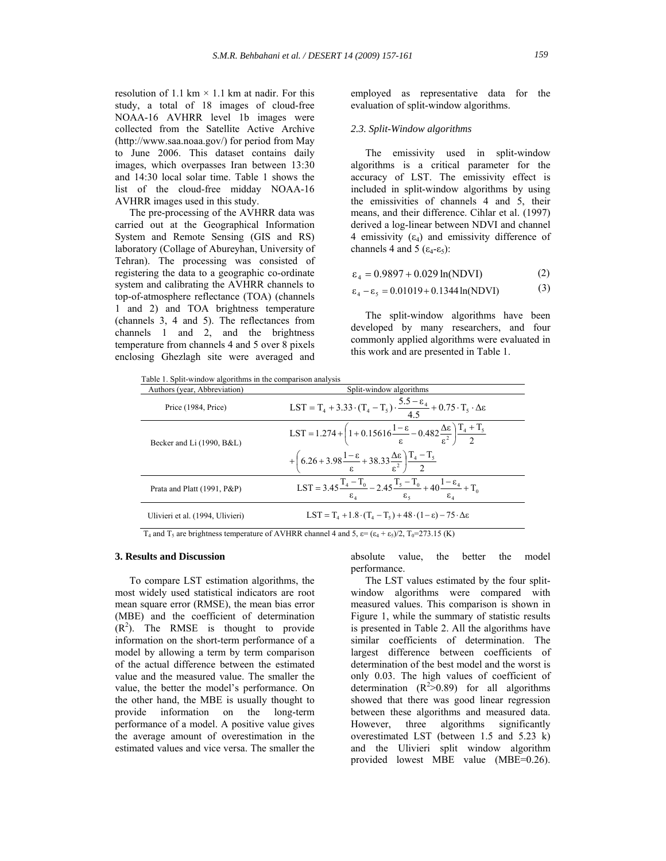resolution of 1.1 km  $\times$  1.1 km at nadir. For this study, a total of 18 images of cloud-free NOAA-16 AVHRR level 1b images were collected from the Satellite Active Archive (http://www.saa.noaa.gov/) for period from May to June 2006. This dataset contains daily images, which overpasses Iran between 13:30 and 14:30 local solar time. Table 1 shows the list of the cloud-free midday NOAA-16 AVHRR images used in this study.

The pre-processing of the AVHRR data was carried out at the Geographical Information System and Remote Sensing (GIS and RS) laboratory (Collage of Abureyhan, University of Tehran). The processing was consisted of registering the data to a geographic co-ordinate system and calibrating the AVHRR channels to top-of-atmosphere reflectance (TOA) (channels 1 and 2) and TOA brightness temperature (channels 3, 4 and 5). The reflectances from channels 1 and 2, and the brightness temperature from channels 4 and 5 over 8 pixels enclosing Ghezlagh site were averaged and employed as representative data for the evaluation of split-window algorithms.

## *2.3. Split-Window algorithms*

The emissivity used in split-window algorithms is a critical parameter for the accuracy of LST. The emissivity effect is included in split-window algorithms by using the emissivities of channels 4 and 5, their means, and their difference. Cihlar et al. (1997) derived a log-linear between NDVI and channel 4 emissivity  $(\epsilon_4)$  and emissivity difference of channels 4 and 5 ( $\varepsilon_4$ - $\varepsilon_5$ ):

$$
\varepsilon_4 = 0.9897 + 0.029 \ln(NDVI)
$$
 (2)

$$
\varepsilon_4 - \varepsilon_5 = 0.01019 + 0.1344 \ln(NDVI)
$$
 (3)

The split-window algorithms have been developed by many researchers, and four commonly applied algorithms were evaluated in this work and are presented in Table 1.

| Authors (year, Abbreviation)     | Split-window algorithms                                                                                                                             |  |  |
|----------------------------------|-----------------------------------------------------------------------------------------------------------------------------------------------------|--|--|
| Price (1984, Price)              | LST = T <sub>4</sub> + 3.33 · $(T_4 - T_5) \cdot \frac{5.5 - \varepsilon_4}{4.5} + 0.75 \cdot T_5 \cdot \Delta \varepsilon$                         |  |  |
| Becker and Li (1990, B&L)        | LST = 1.274 + $\left(1+0.15616\frac{1-\epsilon}{\epsilon}-0.482\frac{\Delta\epsilon}{\epsilon^2}\right)\frac{T_4+T_5}{2}$                           |  |  |
|                                  | $+\bigg(6.26+3.98\frac{1-\epsilon}{\epsilon}+38.33\frac{\Delta\epsilon}{\epsilon^2}\bigg)\frac{T_4-T_5}{2}$                                         |  |  |
| Prata and Platt (1991, P&P)      | LST = $3.45 \frac{T_4 - T_0}{T_2 - 2.45 \frac{T_5 - T_0}{T_5 + 40 \frac{1 - \epsilon_4}{T_0}} + T_0$<br>$\varepsilon_{\scriptscriptstyle\varDelta}$ |  |  |
| Ulivieri et al. (1994, Ulivieri) | LST = $T_4$ + 1.8 $\cdot$ $(T_4 - T_5)$ + 48 $\cdot$ $(1-\epsilon)$ - 75 $\cdot$ $\Delta \epsilon$                                                  |  |  |

 $T_4$  and  $T_5$  are brightness temperature of AVHRR channel 4 and 5,  $\varepsilon = (\varepsilon_4 + \varepsilon_5)/2$ ,  $T_0$ =273.15 (K)

## **3. Results and Discussion**

To compare LST estimation algorithms, the most widely used statistical indicators are root mean square error (RMSE), the mean bias error (MBE) and the coefficient of determination  $(R<sup>2</sup>)$ . The RMSE is thought to provide information on the short-term performance of a model by allowing a term by term comparison of the actual difference between the estimated value and the measured value. The smaller the value, the better the model's performance. On the other hand, the MBE is usually thought to provide information on the long-term performance of a model. A positive value gives the average amount of overestimation in the estimated values and vice versa. The smaller the absolute value, the better the model performance.

The LST values estimated by the four splitwindow algorithms were compared with measured values. This comparison is shown in Figure 1, while the summary of statistic results is presented in Table 2. All the algorithms have similar coefficients of determination. The largest difference between coefficients of determination of the best model and the worst is only 0.03. The high values of coefficient of determination  $(R^2>0.89)$  for all algorithms showed that there was good linear regression between these algorithms and measured data. However, three algorithms significantly overestimated LST (between 1.5 and 5.23 k) and the Ulivieri split window algorithm provided lowest MBE value (MBE=0.26).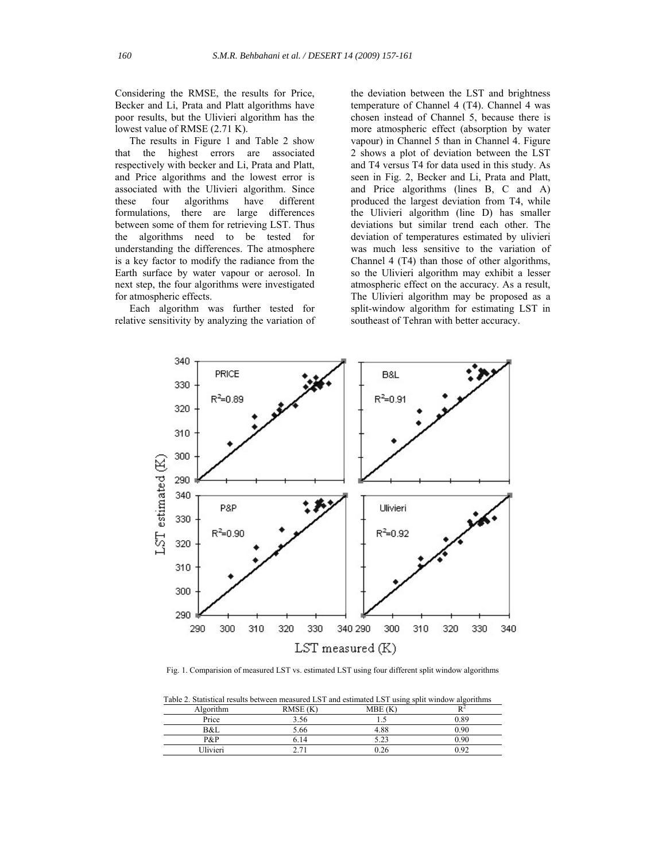Considering the RMSE, the results for Price, Becker and Li, Prata and Platt algorithms have poor results, but the Ulivieri algorithm has the lowest value of RMSE (2.71 K).

The results in Figure 1 and Table 2 show that the highest errors are associated respectively with becker and Li, Prata and Platt, and Price algorithms and the lowest error is associated with the Ulivieri algorithm. Since these four algorithms have different formulations, there are large differences between some of them for retrieving LST. Thus the algorithms need to be tested for understanding the differences. The atmosphere is a key factor to modify the radiance from the Earth surface by water vapour or aerosol. In next step, the four algorithms were investigated for atmospheric effects.

Each algorithm was further tested for relative sensitivity by analyzing the variation of the deviation between the LST and brightness temperature of Channel 4 (T4). Channel 4 was chosen instead of Channel 5, because there is more atmospheric effect (absorption by water vapour) in Channel 5 than in Channel 4. Figure 2 shows a plot of deviation between the LST and T4 versus T4 for data used in this study. As seen in Fig. 2, Becker and Li, Prata and Platt, and Price algorithms (lines B, C and A) produced the largest deviation from T4, while the Ulivieri algorithm (line D) has smaller deviations but similar trend each other. The deviation of temperatures estimated by ulivieri was much less sensitive to the variation of Channel 4 (T4) than those of other algorithms, so the Ulivieri algorithm may exhibit a lesser atmospheric effect on the accuracy. As a result, The Ulivieri algorithm may be proposed as a split-window algorithm for estimating LST in southeast of Tehran with better accuracy.



Fig. 1. Comparision of measured LST vs. estimated LST using four different split window algorithms

| Table 2. Statistical results between measured LST and estimated LST using split window algorithms |          |        |      |  |
|---------------------------------------------------------------------------------------------------|----------|--------|------|--|
| Algorithm                                                                                         | RMSE (K) | MBE(K) |      |  |
| Price                                                                                             | 3.56     |        | 0.89 |  |
| B&L                                                                                               | 5.66     | 4.88   | 0.90 |  |
| P&P                                                                                               | 6 14     | 5.23   | 0.90 |  |
| Jlivieri                                                                                          |          | 0.26   | 0.92 |  |

Table 2. Statistical results between measured LST and estimated LST using split window algorithms